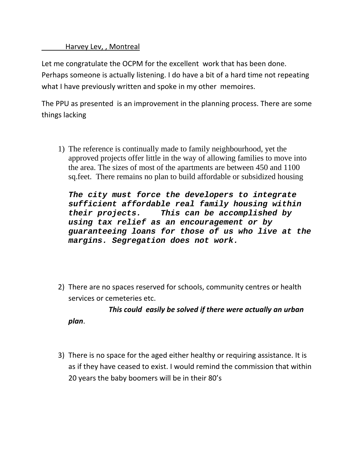Harvey Lev, , Montreal

*plan*.

Let me congratulate the OCPM for the excellent work that has been done. Perhaps someone is actually listening. I do have a bit of a hard time not repeating what I have previously written and spoke in my other memoires.

The PPU as presented is an improvement in the planning process. There are some things lacking

1) The reference is continually made to family neighbourhood, yet the approved projects offer little in the way of allowing families to move into the area. The sizes of most of the apartments are between 450 and 1100 sq.feet. There remains no plan to build affordable or subsidized housing

*The city must force the developers to integrate sufficient affordable real family housing within their projects. This can be accomplished by using tax relief as an encouragement or by guaranteeing loans for those of us who live at the margins. Segregation does not work.* 

2) There are no spaces reserved for schools, community centres or health services or cemeteries etc.

 *This could easily be solved if there were actually an urban*

3) There is no space for the aged either healthy or requiring assistance. It is as if they have ceased to exist. I would remind the commission that within 20 years the baby boomers will be in their 80's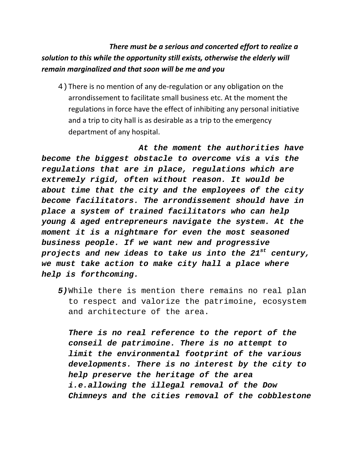## *There must be a serious and concerted effort to realize a solution to this while the opportunity still exists, otherwise the elderly will remain marginalized and that soon will be me and you*

4) There is no mention of any de-regulation or any obligation on the arrondissement to facilitate small business etc. At the moment the regulations in force have the effect of inhibiting any personal initiative and a trip to city hall is as desirable as a trip to the emergency department of any hospital.

 *At the moment the authorities have become the biggest obstacle to overcome vis a vis the regulations that are in place, regulations which are extremely rigid, often without reason. It would be about time that the city and the employees of the city become facilitators. The arrondissement should have in place a system of trained facilitators who can help young & aged entrepreneurs navigate the system. At the moment it is a nightmare for even the most seasoned business people. If we want new and progressive projects and new ideas to take us into the 21st century, we must take action to make city hall a place where help is forthcoming.* 

*5)*While there is mention there remains no real plan to respect and valorize the patrimoine, ecosystem and architecture of the area.

*There is no real reference to the report of the conseil de patrimoine. There is no attempt to limit the environmental footprint of the various developments. There is no interest by the city to help preserve the heritage of the area i.e.allowing the illegal removal of the Dow Chimneys and the cities removal of the cobblestone*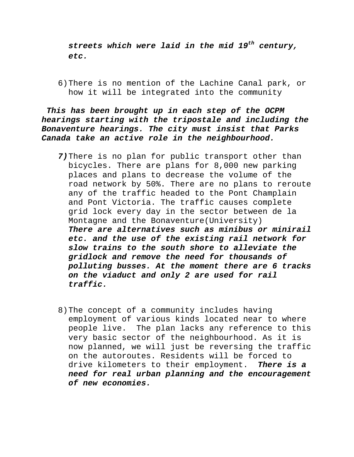*streets which were laid in the mid 19th century, etc.* 

6)There is no mention of the Lachine Canal park, or how it will be integrated into the community

*This has been brought up in each step of the OCPM hearings starting with the tripostale and including the Bonaventure hearings. The city must insist that Parks Canada take an active role in the neighbourhood.* 

- *7)*There is no plan for public transport other than bicycles. There are plans for 8,000 new parking places and plans to decrease the volume of the road network by 50%. There are no plans to reroute any of the traffic headed to the Pont Champlain and Pont Victoria. The traffic causes complete grid lock every day in the sector between de la Montagne and the Bonaventure(University) *There are alternatives such as minibus or minirail etc. and the use of the existing rail network for slow trains to the south shore to alleviate the gridlock and remove the need for thousands of polluting busses. At the moment there are 6 tracks on the viaduct and only 2 are used for rail traffic.*
- 8)The concept of a community includes having employment of various kinds located near to where people live. The plan lacks any reference to this very basic sector of the neighbourhood. As it is now planned, we will just be reversing the traffic on the autoroutes. Residents will be forced to drive kilometers to their employment. *There is a need for real urban planning and the encouragement of new economies.*